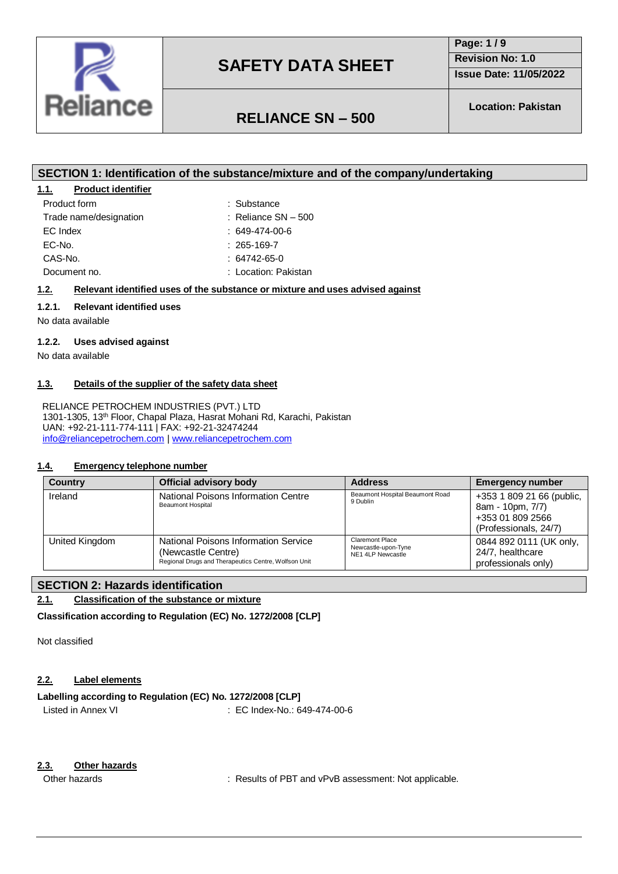

**Page: 1 / 9 Revision No: 1.0**

**Issue Date: 11/05/2022**

## **RELIANCE SN – 500**

**Location: Pakistan**

## **SECTION 1: Identification of the substance/mixture and of the company/undertaking**

### **1.1. Product identifier**

| Product form           | : Substance           |
|------------------------|-----------------------|
| Trade name/designation | : Reliance $SN - 500$ |
| EC Index               | $: 649-474-00-6$      |
| EC-No.                 | $: 265 - 169 - 7$     |
| CAS-No.                | $: 64742 - 65 - 0$    |
| Document no.           | : Location: Pakistan  |

## $: 649-474-00-6$  $: 265 - 169 - 7$

### **1.2. Relevant identified uses of the substance or mixture and uses advised against**

### **1.2.1. Relevant identified uses**

No data available

### **1.2.2. Uses advised against**

No data available

#### **1.3. Details of the supplier of the safety data sheet**

RELIANCE PETROCHEM INDUSTRIES (PVT.) LTD 1301-1305, 13th Floor, Chapal Plaza, Hasrat Mohani Rd, Karachi, Pakistan UAN: +92-21-111-774-111 | FAX: +92-21-32474244 [info@reliancepetrochem.com](mailto:info@reliancepetrochem.com) [| www.reliancepetrochem.com](http://www.reliancepetrochem.com/)

#### **1.4. Emergency telephone number**

| <b>Country</b> | <b>Official advisory body</b>                                                                                             | <b>Address</b>                                                     | <b>Emergency number</b>                                                                    |
|----------------|---------------------------------------------------------------------------------------------------------------------------|--------------------------------------------------------------------|--------------------------------------------------------------------------------------------|
| Ireland        | National Poisons Information Centre<br><b>Beaumont Hospital</b>                                                           | Beaumont Hospital Beaumont Road<br>9 Dublin                        | +353 1 809 21 66 (public,<br>8am - 10pm, 7/7)<br>+353 01 809 2566<br>(Professionals, 24/7) |
| United Kingdom | <b>National Poisons Information Service</b><br>(Newcastle Centre)<br>Regional Drugs and Therapeutics Centre, Wolfson Unit | <b>Claremont Place</b><br>Newcastle-upon-Tyne<br>NE1 4LP Newcastle | 0844 892 0111 (UK only,<br>24/7, healthcare<br>professionals only)                         |

## **SECTION 2: Hazards identification**

**2.1. Classification of the substance or mixture**

#### **Classification according to Regulation (EC) No. 1272/2008 [CLP]**

Not classified

## **2.2. Label elements**

### **Labelling according to Regulation (EC) No. 1272/2008 [CLP]**

Listed in Annex VI **EC Index-No.: 649-474-00-6** 

### **2.3. Other hazards**

Other hazards **in the substitute of PBT** and vPvB assessment: Not applicable.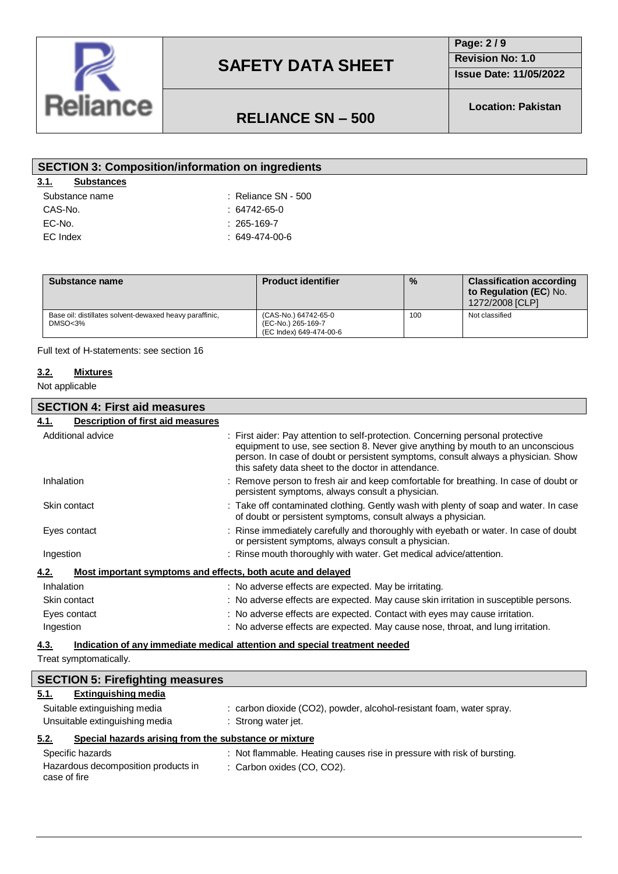

## **Page: 2 / 9**

**Revision No: 1.0**

**Issue Date: 11/05/2022**

# **RELIANCE SN – 500**

**Location: Pakistan**

| <b>SECTION 3: Composition/information on ingredients</b> |                       |  |
|----------------------------------------------------------|-----------------------|--|
| 3.1.<br><b>Substances</b>                                |                       |  |
| Substance name                                           | $:$ Reliance SN - 500 |  |
| CAS-No.                                                  | $: 64742 - 65 - 0$    |  |
| EC-No.                                                   | $: 265 - 169 - 7$     |  |
| EC Index                                                 | $:649-474-00-6$       |  |
|                                                          |                       |  |

| Substance name                                                                | <b>Product identifier</b>                                             | $\%$ | <b>Classification according</b><br>to Regulation (EC) No.<br>1272/2008 [CLP] |
|-------------------------------------------------------------------------------|-----------------------------------------------------------------------|------|------------------------------------------------------------------------------|
| Base oil: distillates solvent-dewaxed heavy paraffinic,<br>DMSO <sub>3%</sub> | (CAS-No.) 64742-65-0<br>(EC-No.) 265-169-7<br>(EC Index) 649-474-00-6 | 100  | Not classified                                                               |

Full text of H-statements: see section 16

#### **3.2. Mixtures**

Not applicable

#### **SECTION 4: First aid measures**

## **4.1. Description of first aid measures** Additional advice : First aider: Pay attention to self-protection. Concerning personal protective equipment to use, see section 8. Never give anything by mouth to an unconscious person. In case of doubt or persistent symptoms, consult always a physician. Show this safety data sheet to the doctor in attendance. Inhalation : Remove person to fresh air and keep comfortable for breathing. In case of doubt or persistent symptoms, always consult a physician. Skin contact **in the contact in the contaminated clothing.** Gently wash with plenty of soap and water. In case of doubt or persistent symptoms, consult always a physician. Eyes contact in the same of doubt : Rinse immediately carefully and thoroughly with eyebath or water. In case of doubt or persistent symptoms, always consult a physician. Ingestion **interest in the mouth thoroughly with water.** Get medical advice/attention. **4.2. Most important symptoms and effects, both acute and delayed** Inhalation **included**: No adverse effects are expected. May be irritating. Skin contact **in the content of the state of the state of the state set of the state skin** irritation in susceptible persons. Eyes contact : No adverse effects are expected. Contact with eyes may cause irritation. Ingestion : No adverse effects are expected. May cause nose, throat, and lung irritation.

#### **4.3. Indication of any immediate medical attention and special treatment needed**

Treat symptomatically.

| <b>SECTION 5: Firefighting measures</b>                       |                                                                         |
|---------------------------------------------------------------|-------------------------------------------------------------------------|
| <b>Extinguishing media</b><br>5.1.                            |                                                                         |
| Suitable extinguishing media                                  | : carbon dioxide (CO2), powder, alcohol-resistant foam, water spray.    |
| Unsuitable extinguishing media                                | : Strong water jet.                                                     |
| Special hazards arising from the substance or mixture<br>5.2. |                                                                         |
| Specific hazards                                              | : Not flammable. Heating causes rise in pressure with risk of bursting. |
| Hazardous decomposition products in<br>case of fire           | : Carbon oxides (CO, CO2).                                              |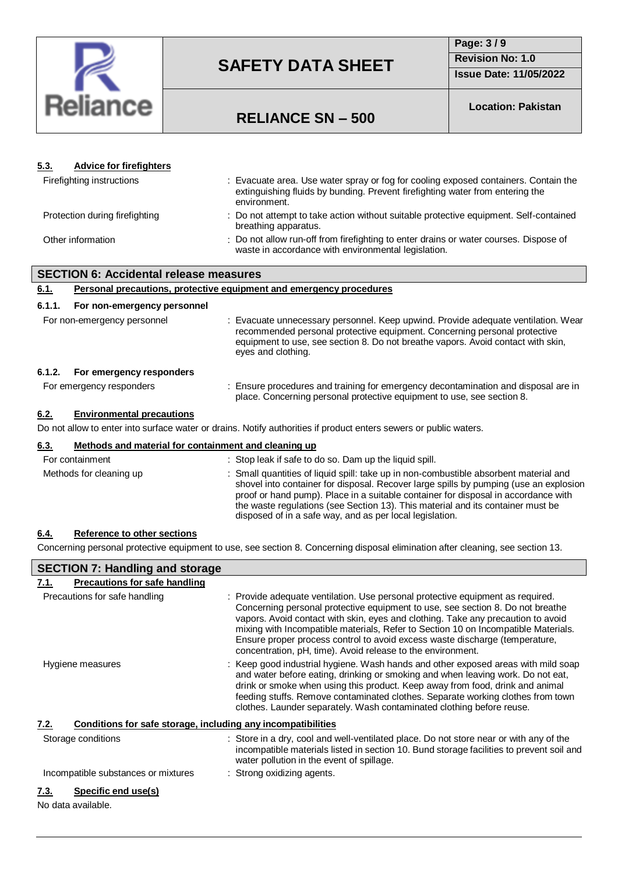

## **Page: 3 / 9 Revision No: 1.0**

**Issue Date: 11/05/2022**

## **RELIANCE SN – 500**

**Location: Pakistan**

| 5.3.   | <b>Advice for firefighters</b>                       |                                                                                                                                                                                                                                                                                                                                                                                                                     |
|--------|------------------------------------------------------|---------------------------------------------------------------------------------------------------------------------------------------------------------------------------------------------------------------------------------------------------------------------------------------------------------------------------------------------------------------------------------------------------------------------|
|        | Firefighting instructions                            | : Evacuate area. Use water spray or fog for cooling exposed containers. Contain the<br>extinguishing fluids by bunding. Prevent firefighting water from entering the<br>environment.                                                                                                                                                                                                                                |
|        | Protection during firefighting                       | : Do not attempt to take action without suitable protective equipment. Self-contained<br>breathing apparatus.                                                                                                                                                                                                                                                                                                       |
|        | Other information                                    | : Do not allow run-off from firefighting to enter drains or water courses. Dispose of<br>waste in accordance with environmental legislation.                                                                                                                                                                                                                                                                        |
|        | <b>SECTION 6: Accidental release measures</b>        |                                                                                                                                                                                                                                                                                                                                                                                                                     |
| 6.1.   |                                                      | Personal precautions, protective equipment and emergency procedures                                                                                                                                                                                                                                                                                                                                                 |
| 6.1.1. | For non-emergency personnel                          |                                                                                                                                                                                                                                                                                                                                                                                                                     |
|        | For non-emergency personnel                          | : Evacuate unnecessary personnel. Keep upwind. Provide adequate ventilation. Wear<br>recommended personal protective equipment. Concerning personal protective<br>equipment to use, see section 8. Do not breathe vapors. Avoid contact with skin,<br>eyes and clothing.                                                                                                                                            |
| 6.1.2. | For emergency responders                             |                                                                                                                                                                                                                                                                                                                                                                                                                     |
|        | For emergency responders                             | : Ensure procedures and training for emergency decontamination and disposal are in<br>place. Concerning personal protective equipment to use, see section 8.                                                                                                                                                                                                                                                        |
| 6.2.   | <b>Environmental precautions</b>                     |                                                                                                                                                                                                                                                                                                                                                                                                                     |
|        |                                                      | Do not allow to enter into surface water or drains. Notify authorities if product enters sewers or public waters.                                                                                                                                                                                                                                                                                                   |
| 6.3.   | Methods and material for containment and cleaning up |                                                                                                                                                                                                                                                                                                                                                                                                                     |
|        | For containment                                      | : Stop leak if safe to do so. Dam up the liquid spill.                                                                                                                                                                                                                                                                                                                                                              |
|        | Methods for cleaning up                              | : Small quantities of liquid spill: take up in non-combustible absorbent material and<br>shovel into container for disposal. Recover large spills by pumping (use an explosion<br>proof or hand pump). Place in a suitable container for disposal in accordance with<br>the waste regulations (see Section 13). This material and its container must be<br>disposed of in a safe way, and as per local legislation. |
| 6.4.   | <b>Reference to other sections</b>                   |                                                                                                                                                                                                                                                                                                                                                                                                                     |
|        |                                                      | Concerning personal protective equipment to use, see section 8. Concerning disposal elimination after cleaning, see section 13.                                                                                                                                                                                                                                                                                     |
|        | <b>SECTION 7: Handling and storage</b>               |                                                                                                                                                                                                                                                                                                                                                                                                                     |

| 7.1.<br><b>Precautions for safe handling</b>                         |                                                                                                                                                                                                                                                                                                                                                                                                                                                                                          |
|----------------------------------------------------------------------|------------------------------------------------------------------------------------------------------------------------------------------------------------------------------------------------------------------------------------------------------------------------------------------------------------------------------------------------------------------------------------------------------------------------------------------------------------------------------------------|
| Precautions for safe handling                                        | : Provide adequate ventilation. Use personal protective equipment as required.<br>Concerning personal protective equipment to use, see section 8. Do not breathe<br>vapors. Avoid contact with skin, eyes and clothing. Take any precaution to avoid<br>mixing with Incompatible materials, Refer to Section 10 on Incompatible Materials.<br>Ensure proper process control to avoid excess waste discharge (temperature,<br>concentration, pH, time). Avoid release to the environment. |
| Hygiene measures                                                     | : Keep good industrial hygiene. Wash hands and other exposed areas with mild soap<br>and water before eating, drinking or smoking and when leaving work. Do not eat,<br>drink or smoke when using this product. Keep away from food, drink and animal<br>feeding stuffs. Remove contaminated clothes. Separate working clothes from town<br>clothes. Launder separately. Wash contaminated clothing before reuse.                                                                        |
| Conditions for safe storage, including any incompatibilities<br>7.2. |                                                                                                                                                                                                                                                                                                                                                                                                                                                                                          |
| Storage conditions                                                   | : Store in a dry, cool and well-ventilated place. Do not store near or with any of the<br>incompatible materials listed in section 10. Bund storage facilities to prevent soil and<br>water pollution in the event of spillage.                                                                                                                                                                                                                                                          |
| Incompatible substances or mixtures                                  | : Strong oxidizing agents.                                                                                                                                                                                                                                                                                                                                                                                                                                                               |
| Specific end use(s)<br>7.3.                                          |                                                                                                                                                                                                                                                                                                                                                                                                                                                                                          |
| No data available.                                                   |                                                                                                                                                                                                                                                                                                                                                                                                                                                                                          |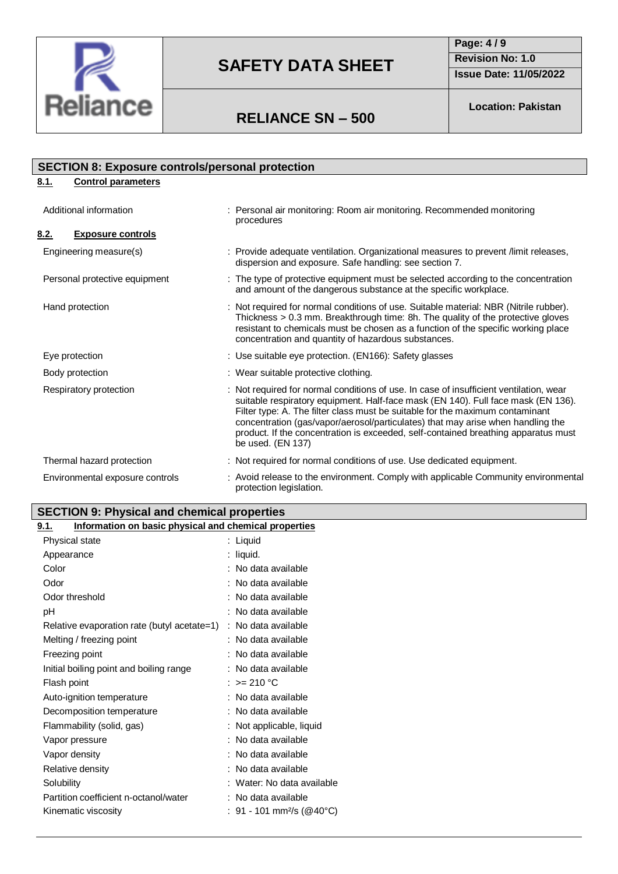

**Page: 4 / 9 Revision No: 1.0 Issue Date: 11/05/2022**

## **RELIANCE SN – 500**

**Location: Pakistan**

## **8.1. Control parameters** Additional information : Personal air monitoring: Room air monitoring. Recommended monitoring procedures **8.2. Exposure controls** Engineering measure(s)  $\blacksquare$ : Provide adequate ventilation. Organizational measures to prevent /limit releases, dispersion and exposure. Safe handling: see section 7. Personal protective equipment : The type of protective equipment must be selected according to the concentration and amount of the dangerous substance at the specific workplace. Hand protection : Not required for normal conditions of use. Suitable material: NBR (Nitrile rubber). Thickness > 0.3 mm. Breakthrough time: 8h. The quality of the protective gloves resistant to chemicals must be chosen as a function of the specific working place concentration and quantity of hazardous substances. Eye protection : Use suitable eye protection. (EN166): Safety glasses Body protection  $\qquad \qquad :$  Wear suitable protective clothing. Respiratory protection : Not required for normal conditions of use. In case of insufficient ventilation, wear suitable respiratory equipment. Half-face mask (EN 140). Full face mask (EN 136). Filter type: A. The filter class must be suitable for the maximum contaminant concentration (gas/vapor/aerosol/particulates) that may arise when handling the product. If the concentration is exceeded, self-contained breathing apparatus must be used. (EN 137) Thermal hazard protection : Not required for normal conditions of use. Use dedicated equipment. Environmental exposure controls : Avoid release to the environment. Comply with applicable Community environmental protection legislation. **SECTION 8: Exposure controls/personal protection**

## **SECTION 9: Physical and chemical properties**

| <u>9.1.</u><br>Information on basic physical and chemical properties |                                       |
|----------------------------------------------------------------------|---------------------------------------|
| Physical state                                                       | : Liquid                              |
| Appearance                                                           | $:$ liquid.                           |
| Color                                                                | : No data available                   |
| Odor                                                                 | : No data available                   |
| Odor threshold                                                       | : No data available                   |
| рH                                                                   | : No data available                   |
| Relative evaporation rate (butyl acetate=1)                          | : No data available                   |
| Melting / freezing point                                             | : No data available                   |
| Freezing point                                                       | : No data available                   |
| Initial boiling point and boiling range                              | : No data available                   |
| Flash point                                                          | : $> = 210 °C$                        |
| Auto-ignition temperature                                            | : No data available                   |
| Decomposition temperature                                            | : No data available                   |
| Flammability (solid, gas)                                            | : Not applicable, liquid              |
| Vapor pressure                                                       | : No data available                   |
| Vapor density                                                        | : No data available                   |
| Relative density                                                     | : No data available                   |
| Solubility                                                           | : Water: No data available            |
| Partition coefficient n-octanol/water                                | : No data available                   |
| Kinematic viscosity                                                  | : 91 - 101 mm <sup>2</sup> /s (@40°C) |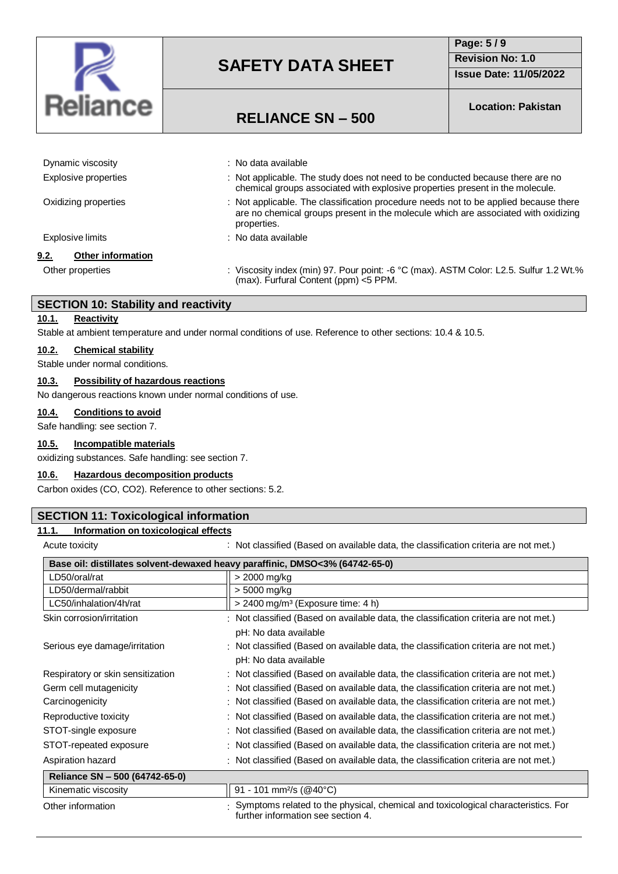

## **Page: 5 / 9 Revision No: 1.0 Issue Date: 11/05/2022**

## **RELIANCE SN – 500**

**Location: Pakistan**

| Dynamic viscosity         | : No data available                                                                                                                                                                       |
|---------------------------|-------------------------------------------------------------------------------------------------------------------------------------------------------------------------------------------|
| Explosive properties      | : Not applicable. The study does not need to be conducted because there are no<br>chemical groups associated with explosive properties present in the molecule.                           |
| Oxidizing properties      | : Not applicable. The classification procedure needs not to be applied because there<br>are no chemical groups present in the molecule which are associated with oxidizing<br>properties. |
| Explosive limits          | : No data available                                                                                                                                                                       |
| Other information<br>9.2. |                                                                                                                                                                                           |
| Other properties          | : Viscosity index (min) 97. Pour point: -6 °C (max). ASTM Color: L2.5. Sulfur 1.2 Wt.%<br>(max). Furfural Content (ppm) <5 PPM.                                                           |

#### **SECTION 10: Stability and reactivity**

#### **10.1. Reactivity**

Stable at ambient temperature and under normal conditions of use. Reference to other sections: 10.4 & 10.5.

#### **10.2. Chemical stability**

Stable under normal conditions.

## **10.3. Possibility of hazardous reactions**

No dangerous reactions known under normal conditions of use.

#### **10.4. Conditions to avoid**

Safe handling: see section 7.

#### **10.5. Incompatible materials**

oxidizing substances. Safe handling: see section 7.

#### **10.6. Hazardous decomposition products**

Carbon oxides (CO, CO2). Reference to other sections: 5.2.

#### **SECTION 11: Toxicological information**

#### **11.1. Information on toxicological effects**

Acute toxicity **Actural Contract Contract Contract Contract** (Based on available data, the classification criteria are not met.)

| Base oil: distillates solvent-dewaxed heavy paraffinic, DMSO<3% (64742-65-0) |                                                                                                                               |  |  |
|------------------------------------------------------------------------------|-------------------------------------------------------------------------------------------------------------------------------|--|--|
| LD50/oral/rat                                                                | > 2000 mg/kg                                                                                                                  |  |  |
| LD50/dermal/rabbit                                                           | > 5000 mg/kg                                                                                                                  |  |  |
| LC50/inhalation/4h/rat                                                       | $>$ 2400 mg/m <sup>3</sup> (Exposure time: 4 h)                                                                               |  |  |
| Skin corrosion/irritation                                                    | : Not classified (Based on available data, the classification criteria are not met.)                                          |  |  |
|                                                                              | pH: No data available                                                                                                         |  |  |
| Serious eye damage/irritation                                                | : Not classified (Based on available data, the classification criteria are not met.)                                          |  |  |
|                                                                              | pH: No data available                                                                                                         |  |  |
| Respiratory or skin sensitization                                            | : Not classified (Based on available data, the classification criteria are not met.)                                          |  |  |
| Germ cell mutagenicity                                                       | : Not classified (Based on available data, the classification criteria are not met.)                                          |  |  |
| Carcinogenicity                                                              | : Not classified (Based on available data, the classification criteria are not met.)                                          |  |  |
| Reproductive toxicity                                                        | : Not classified (Based on available data, the classification criteria are not met.)                                          |  |  |
| STOT-single exposure                                                         | : Not classified (Based on available data, the classification criteria are not met.)                                          |  |  |
| STOT-repeated exposure                                                       | : Not classified (Based on available data, the classification criteria are not met.)                                          |  |  |
| Aspiration hazard                                                            | : Not classified (Based on available data, the classification criteria are not met.)                                          |  |  |
| Reliance SN - 500 (64742-65-0)                                               |                                                                                                                               |  |  |
| Kinematic viscosity                                                          | 91 - 101 mm <sup>2</sup> /s (@40°C)                                                                                           |  |  |
| Other information                                                            | $\pm$ Symptoms related to the physical, chemical and toxicological characteristics. For<br>further information see section 4. |  |  |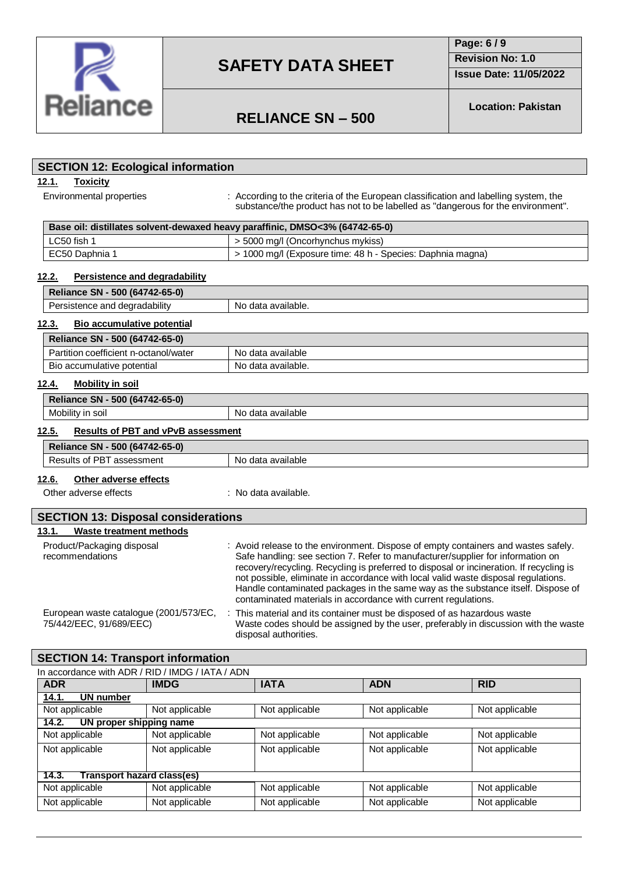

**Page: 6 / 9**

**Revision No: 1.0**

**Issue Date: 11/05/2022**

# **RELIANCE SN – 500**

**Location: Pakistan**

## **12.1. Toxicity** Environmental properties : According to the criteria of the European classification and labelling system, the substance/the product has not to be labelled as "dangerous for the environment". **Base oil: distillates solvent-dewaxed heavy paraffinic, DMSO<3% (64742-65-0)** LC50 fish 1  $\rightarrow$  5000 mg/l (Oncorhynchus mykiss) EC50 Daphnia 1 > 1000 mg/l (Exposure time: 48 h - Species: Daphnia magna) **12.2. Persistence and degradability Reliance SN - 500 (64742-65-0)** Persistence and degradability No data available. **12.3. Bio accumulative potential Reliance SN - 500 (64742-65-0)** Partition coefficient n-octanol/water No data available Bio accumulative potential No data available. **12.4. Mobility in soil Reliance SN - 500 (64742-65-0)** Mobility in soil Mobility in soil **12.5. Results of PBT and vPvB assessment Reliance SN - 500 (64742-65-0)** Results of PBT assessment No data available **12.6. Other adverse effects** Other adverse effects : No data available. **13.1. Waste treatment methods** Product/Packaging disposal recommendations : Avoid release to the environment. Dispose of empty containers and wastes safely. Safe handling: see section 7. Refer to manufacturer/supplier for information on recovery/recycling. Recycling is preferred to disposal or incineration. If recycling is not possible, eliminate in accordance with local valid waste disposal regulations. Handle contaminated packages in the same way as the substance itself. Dispose of contaminated materials in accordance with current regulations. European waste catalogue (2001/573/EC, 75/442/EEC, 91/689/EEC) : This material and its container must be disposed of as hazardous waste Waste codes should be assigned by the user, preferably in discussion with the waste disposal authorities. **SECTION 12: Ecological information SECTION 13: Disposal considerations**

## **SECTION 14: Transport information**

| In accordance with ADR / RID / IMDG / IATA / ADN |                |                |                |                |
|--------------------------------------------------|----------------|----------------|----------------|----------------|
| <b>ADR</b>                                       | <b>IMDG</b>    | <b>IATA</b>    | <b>ADN</b>     | <b>RID</b>     |
| UN number<br>14.1.                               |                |                |                |                |
| Not applicable                                   | Not applicable | Not applicable | Not applicable | Not applicable |
| UN proper shipping name<br>14.2.                 |                |                |                |                |
| Not applicable                                   | Not applicable | Not applicable | Not applicable | Not applicable |
| Not applicable                                   | Not applicable | Not applicable | Not applicable | Not applicable |
|                                                  |                |                |                |                |
| <b>Transport hazard class(es)</b><br>14.3.       |                |                |                |                |
| Not applicable                                   | Not applicable | Not applicable | Not applicable | Not applicable |
| Not applicable                                   | Not applicable | Not applicable | Not applicable | Not applicable |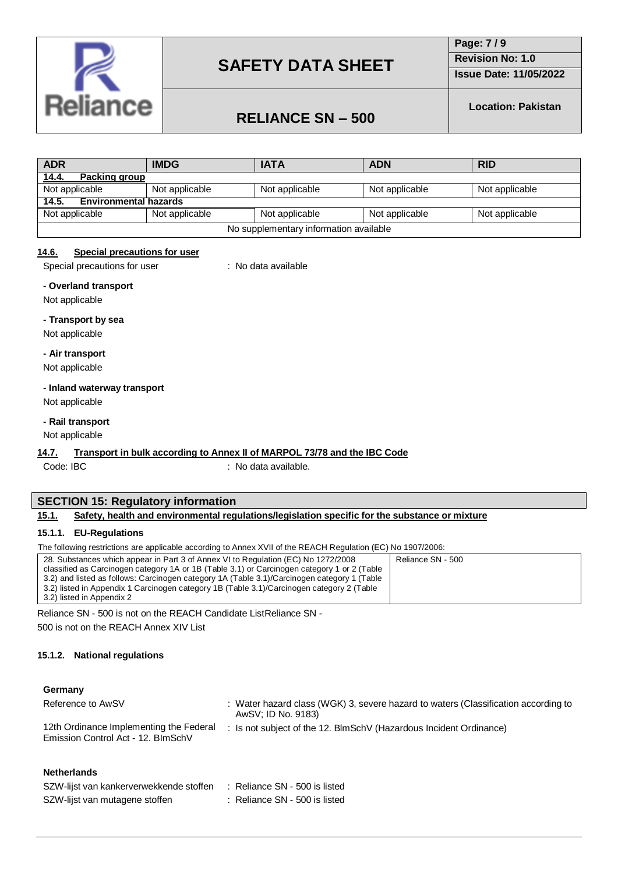

**Page: 7 / 9 Revision No: 1.0**

**Issue Date: 11/05/2022**

# **RELIANCE SN – 500**

**Location: Pakistan**

| <b>ADR</b>                             | <b>IMDG</b>    | <b>IATA</b>    | <b>ADN</b>     | <b>RID</b>     |
|----------------------------------------|----------------|----------------|----------------|----------------|
| Packing group<br><u>14.4.</u>          |                |                |                |                |
| Not applicable                         | Not applicable | Not applicable | Not applicable | Not applicable |
| 14.5. Environmental hazards            |                |                |                |                |
| Not applicable                         | Not applicable | Not applicable | Not applicable | Not applicable |
| No supplementary information available |                |                |                |                |

#### **14.6. Special precautions for user**

Special precautions for user : No data available

**- Overland transport**

Not applicable

#### **- Transport by sea**

Not applicable

#### **- Air transport**

Not applicable

#### **- Inland waterway transport**

Not applicable

#### **- Rail transport**

#### Not applicable

#### **14.7. Transport in bulk according to Annex II of MARPOL 73/78 and the IBC Code**

Code: IBC : No data available.

### **SECTION 15: Regulatory information**

#### **15.1. Safety, health and environmental regulations/legislation specific for the substance or mixture**

#### **15.1.1. EU-Regulations**

The following restrictions are applicable according to Annex XVII of the REACH Regulation (EC) No 1907/2006:

| 28. Substances which appear in Part 3 of Annex VI to Regulation (EC) No 1272/2008           | Reliance SN - 500 |
|---------------------------------------------------------------------------------------------|-------------------|
| classified as Carcinogen category 1A or 1B (Table 3.1) or Carcinogen category 1 or 2 (Table |                   |
| 3.2) and listed as follows: Carcinogen category 1A (Table 3.1)/Carcinogen category 1 (Table |                   |
| 3.2) listed in Appendix 1 Carcinogen category 1B (Table 3.1)/Carcinogen category 2 (Table   |                   |
| 3.2) listed in Appendix 2                                                                   |                   |

Reliance SN - 500 is not on the REACH Candidate ListReliance SN - 500 is not on the REACH Annex XIV List

#### **15.1.2. National regulations**

#### **Germany**

| Reference to AwSV                                                             | Water hazard class (WGK) 3, severe hazard to waters (Classification according to<br>AwSV; ID No. 9183) |
|-------------------------------------------------------------------------------|--------------------------------------------------------------------------------------------------------|
| 12th Ordinance Implementing the Federal<br>Emission Control Act - 12. BlmSchV | Is not subject of the 12. BlmSchV (Hazardous Incident Ordinance)                                       |

#### **Netherlands**

| SZW-lijst van kankerverwekkende stoffen : Reliance SN - 500 is listed |  |  |
|-----------------------------------------------------------------------|--|--|
|-----------------------------------------------------------------------|--|--|

SZW-lijst van mutagene stoffen : Reliance SN - 500 is listed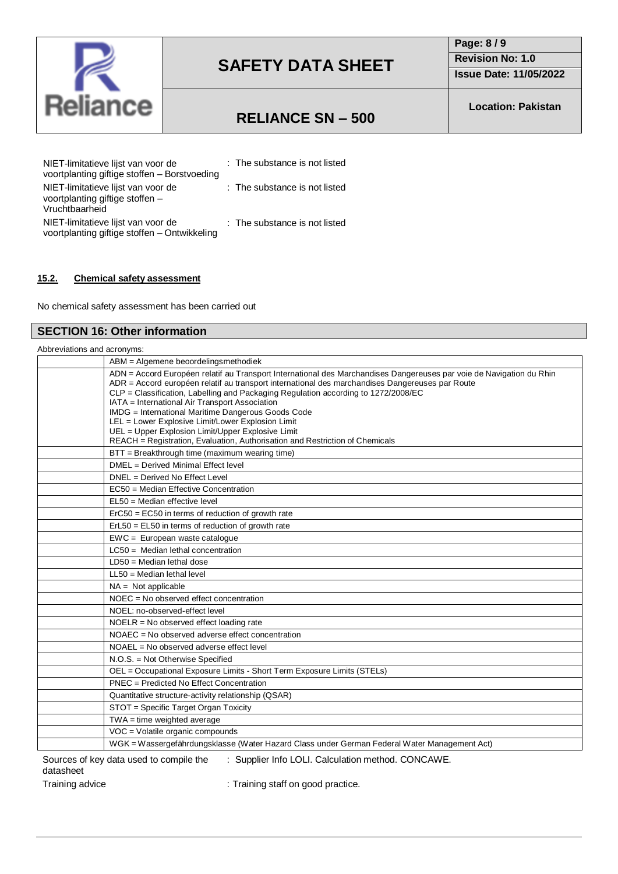

**Page: 8 / 9 Revision No: 1.0**

**Issue Date: 11/05/2022**

## **RELIANCE SN – 500**

**Location: Pakistan**

| NIET-limitatieve lijst van voor de<br>voortplanting giftige stoffen - Borstvoeding      | : The substance is not listed |
|-----------------------------------------------------------------------------------------|-------------------------------|
| NIET-limitatieve lijst van voor de<br>voortplanting giftige stoffen -<br>Vruchtbaarheid | : The substance is not listed |
| NIET-limitatieve lijst van voor de<br>voortplanting giftige stoffen - Ontwikkeling      | : The substance is not listed |

## **15.2. Chemical safety assessment**

No chemical safety assessment has been carried out

## **SECTION 16: Other information**

| Abbreviations and acronyms: |                                                                                                                                                                                                                                                                                                                                                                 |
|-----------------------------|-----------------------------------------------------------------------------------------------------------------------------------------------------------------------------------------------------------------------------------------------------------------------------------------------------------------------------------------------------------------|
|                             | ABM = Algemene beoordelingsmethodiek                                                                                                                                                                                                                                                                                                                            |
|                             | ADN = Accord Européen relatif au Transport International des Marchandises Dangereuses par voie de Navigation du Rhin<br>ADR = Accord européen relatif au transport international des marchandises Dangereuses par Route<br>CLP = Classification, Labelling and Packaging Regulation according to 1272/2008/EC<br>IATA = International Air Transport Association |
|                             | IMDG = International Maritime Dangerous Goods Code                                                                                                                                                                                                                                                                                                              |
|                             | LEL = Lower Explosive Limit/Lower Explosion Limit                                                                                                                                                                                                                                                                                                               |
|                             | UEL = Upper Explosion Limit/Upper Explosive Limit<br>REACH = Registration, Evaluation, Authorisation and Restriction of Chemicals                                                                                                                                                                                                                               |
|                             | BTT = Breakthrough time (maximum wearing time)                                                                                                                                                                                                                                                                                                                  |
|                             | DMEL = Derived Minimal Effect level                                                                                                                                                                                                                                                                                                                             |
|                             | DNEL = Derived No Effect Level                                                                                                                                                                                                                                                                                                                                  |
|                             | EC50 = Median Effective Concentration                                                                                                                                                                                                                                                                                                                           |
|                             | EL50 = Median effective level                                                                                                                                                                                                                                                                                                                                   |
|                             | $E0 = E0 = E0$ in terms of reduction of growth rate                                                                                                                                                                                                                                                                                                             |
|                             | $ErL50 = EL50$ in terms of reduction of growth rate                                                                                                                                                                                                                                                                                                             |
|                             | EWC = European waste catalogue                                                                                                                                                                                                                                                                                                                                  |
|                             | $LC50$ = Median lethal concentration                                                                                                                                                                                                                                                                                                                            |
|                             | $LD50 = Median$ lethal dose                                                                                                                                                                                                                                                                                                                                     |
|                             | $LL50 = Median$ lethal level                                                                                                                                                                                                                                                                                                                                    |
|                             | $NA = Not applicable$                                                                                                                                                                                                                                                                                                                                           |
|                             | $NOEC = No observed effect concentration$                                                                                                                                                                                                                                                                                                                       |
|                             | NOEL: no-observed-effect level                                                                                                                                                                                                                                                                                                                                  |
|                             | NOELR = No observed effect loading rate                                                                                                                                                                                                                                                                                                                         |
|                             | NOAEC = No observed adverse effect concentration                                                                                                                                                                                                                                                                                                                |
|                             | NOAEL = No observed adverse effect level                                                                                                                                                                                                                                                                                                                        |
|                             | N.O.S. = Not Otherwise Specified                                                                                                                                                                                                                                                                                                                                |
|                             | OEL = Occupational Exposure Limits - Short Term Exposure Limits (STELs)                                                                                                                                                                                                                                                                                         |
|                             | PNEC = Predicted No Effect Concentration                                                                                                                                                                                                                                                                                                                        |
|                             | Quantitative structure-activity relationship (QSAR)                                                                                                                                                                                                                                                                                                             |
|                             | STOT = Specific Target Organ Toxicity                                                                                                                                                                                                                                                                                                                           |
|                             | $TWA = time$ weighted average                                                                                                                                                                                                                                                                                                                                   |
|                             | VOC = Volatile organic compounds                                                                                                                                                                                                                                                                                                                                |
|                             | WGK = Wassergefährdungsklasse (Water Hazard Class under German Federal Water Management Act)                                                                                                                                                                                                                                                                    |

Sources of key data used to compile the datasheet

: Supplier Info LOLI. Calculation method. CONCAWE.

Training advice **in the starting staff on good practice**.